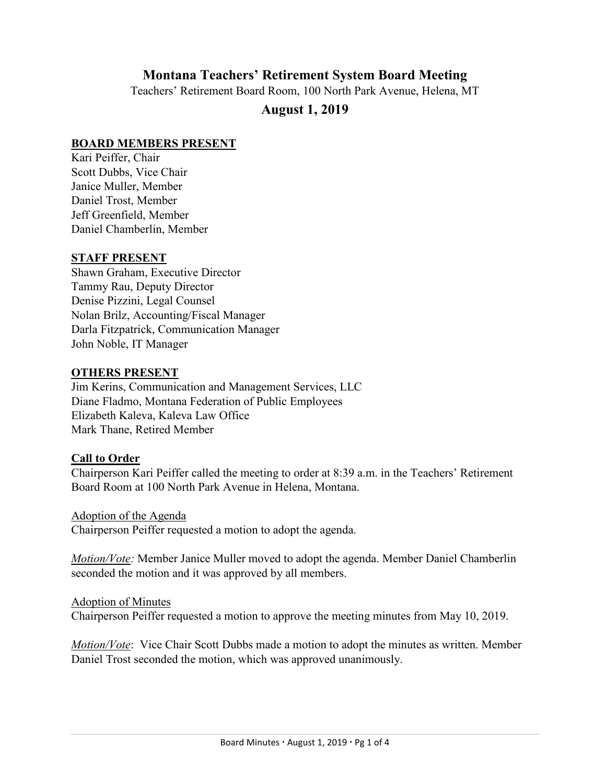# **Montana Teachers' Retirement System Board Meeting**

Teachers' Retirement Board Room, 100 North Park Avenue, Helena, MT

# **August 1, 2019**

### **BOARD MEMBERS PRESENT**

Kari Peiffer, Chair Scott Dubbs, Vice Chair Janice Muller, Member Daniel Trost, Member Jeff Greenfield, Member Daniel Chamberlin, Member

#### **STAFF PRESENT**

Shawn Graham, Executive Director Tammy Rau, Deputy Director Denise Pizzini, Legal Counsel Nolan Brilz, Accounting/Fiscal Manager Darla Fitzpatrick, Communication Manager John Noble, IT Manager

#### **OTHERS PRESENT**

Jim Kerins, Communication and Management Services, LLC Diane Fladmo, Montana Federation of Public Employees Elizabeth Kaleva, Kaleva Law Office Mark Thane, Retired Member

### **Call to Order**

Chairperson Kari Peiffer called the meeting to order at 8:39 a.m. in the Teachers' Retirement Board Room at 100 North Park Avenue in Helena, Montana.

Adoption of the Agenda Chairperson Peiffer requested a motion to adopt the agenda.

*Motion/Vote:* Member Janice Muller moved to adopt the agenda. Member Daniel Chamberlin seconded the motion and it was approved by all members.

Adoption of Minutes

Chairperson Peiffer requested a motion to approve the meeting minutes from May 10, 2019.

*Motion/Vote*: Vice Chair Scott Dubbs made a motion to adopt the minutes as written. Member Daniel Trost seconded the motion, which was approved unanimously.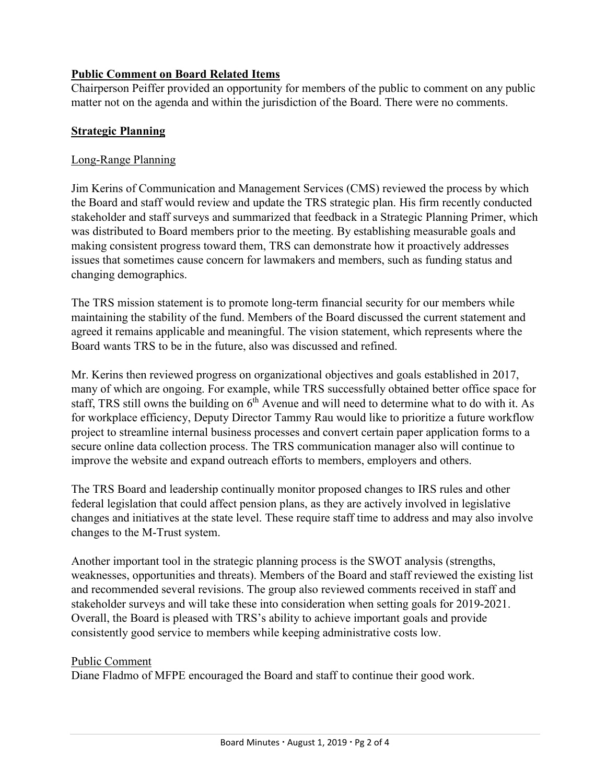## **Public Comment on Board Related Items**

Chairperson Peiffer provided an opportunity for members of the public to comment on any public matter not on the agenda and within the jurisdiction of the Board. There were no comments.

### **Strategic Planning**

### Long-Range Planning

Jim Kerins of Communication and Management Services (CMS) reviewed the process by which the Board and staff would review and update the TRS strategic plan. His firm recently conducted stakeholder and staff surveys and summarized that feedback in a Strategic Planning Primer, which was distributed to Board members prior to the meeting. By establishing measurable goals and making consistent progress toward them, TRS can demonstrate how it proactively addresses issues that sometimes cause concern for lawmakers and members, such as funding status and changing demographics.

The TRS mission statement is to promote long-term financial security for our members while maintaining the stability of the fund. Members of the Board discussed the current statement and agreed it remains applicable and meaningful. The vision statement, which represents where the Board wants TRS to be in the future, also was discussed and refined.

Mr. Kerins then reviewed progress on organizational objectives and goals established in 2017, many of which are ongoing. For example, while TRS successfully obtained better office space for staff, TRS still owns the building on  $6<sup>th</sup>$  Avenue and will need to determine what to do with it. As for workplace efficiency, Deputy Director Tammy Rau would like to prioritize a future workflow project to streamline internal business processes and convert certain paper application forms to a secure online data collection process. The TRS communication manager also will continue to improve the website and expand outreach efforts to members, employers and others.

The TRS Board and leadership continually monitor proposed changes to IRS rules and other federal legislation that could affect pension plans, as they are actively involved in legislative changes and initiatives at the state level. These require staff time to address and may also involve changes to the M-Trust system.

Another important tool in the strategic planning process is the SWOT analysis (strengths, weaknesses, opportunities and threats). Members of the Board and staff reviewed the existing list and recommended several revisions. The group also reviewed comments received in staff and stakeholder surveys and will take these into consideration when setting goals for 2019-2021. Overall, the Board is pleased with TRS's ability to achieve important goals and provide consistently good service to members while keeping administrative costs low.

### Public Comment

Diane Fladmo of MFPE encouraged the Board and staff to continue their good work.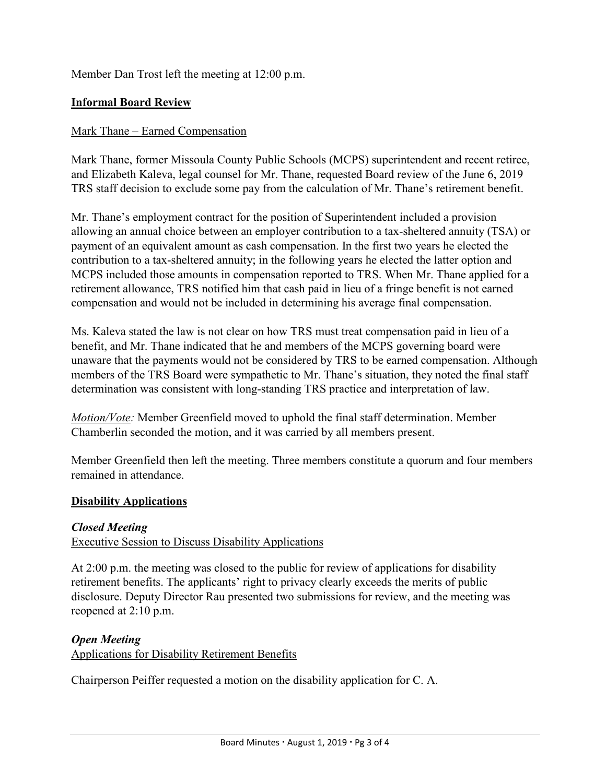Member Dan Trost left the meeting at 12:00 p.m.

### **Informal Board Review**

### Mark Thane – Earned Compensation

Mark Thane, former Missoula County Public Schools (MCPS) superintendent and recent retiree, and Elizabeth Kaleva, legal counsel for Mr. Thane, requested Board review of the June 6, 2019 TRS staff decision to exclude some pay from the calculation of Mr. Thane's retirement benefit.

Mr. Thane's employment contract for the position of Superintendent included a provision allowing an annual choice between an employer contribution to a tax-sheltered annuity (TSA) or payment of an equivalent amount as cash compensation. In the first two years he elected the contribution to a tax-sheltered annuity; in the following years he elected the latter option and MCPS included those amounts in compensation reported to TRS. When Mr. Thane applied for a retirement allowance, TRS notified him that cash paid in lieu of a fringe benefit is not earned compensation and would not be included in determining his average final compensation.

Ms. Kaleva stated the law is not clear on how TRS must treat compensation paid in lieu of a benefit, and Mr. Thane indicated that he and members of the MCPS governing board were unaware that the payments would not be considered by TRS to be earned compensation. Although members of the TRS Board were sympathetic to Mr. Thane's situation, they noted the final staff determination was consistent with long-standing TRS practice and interpretation of law.

*Motion/Vote:* Member Greenfield moved to uphold the final staff determination. Member Chamberlin seconded the motion, and it was carried by all members present.

Member Greenfield then left the meeting. Three members constitute a quorum and four members remained in attendance.

### **Disability Applications**

### *Closed Meeting*

### Executive Session to Discuss Disability Applications

At 2:00 p.m. the meeting was closed to the public for review of applications for disability retirement benefits. The applicants' right to privacy clearly exceeds the merits of public disclosure. Deputy Director Rau presented two submissions for review, and the meeting was reopened at 2:10 p.m.

### *Open Meeting*

Applications for Disability Retirement Benefits

Chairperson Peiffer requested a motion on the disability application for C. A.